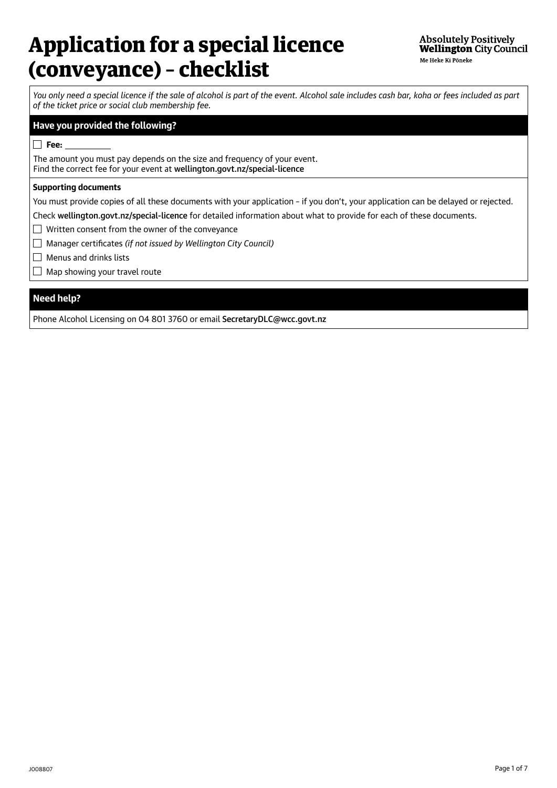# Application for a special licence (conveyance) – checklist

*You only need a special licence if the sale of alcohol is part of the event. Alcohol sale includes cash bar, koha or fees included as part of the ticket price or social club membership fee.*

### **Have you provided the following?**

**Fee:** 

The amount you must pay depends on the size and frequency of your event. Find the correct fee for your event at [wellington.govt.nz/special-licence](http://wellington.govt.nz/special-licence)

#### **Supporting documents**

You must provide copies of all these documents with your application – if you don't, your application can be delayed or rejected.

Check [wellington.govt.nz/special-licence](http://wellington.govt.nz/special-licence) for detailed information about what to provide for each of these documents.

Written consent from the owner of the conveyance

Manager certificates *(if not issued by Wellington City Council)*

 $\Box$  Menus and drinks lists

 $\Box$  Map showing your travel route

# **Need help?**

Phone Alcohol Licensing on 04 801 3760 or email [SecretaryDLC@wcc.govt.nz](mailto:SecretaryDLC%40wcc.govt.nz?subject=)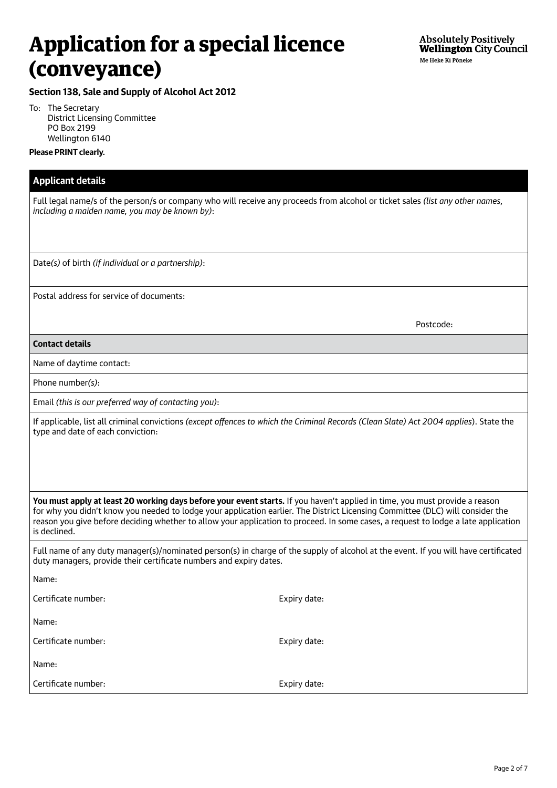**Section 138, Sale and Supply of Alcohol Act 2012**

To: The Secretary District Licensing Committee PO Box 2199 Wellington 6140

#### **Please PRINT clearly.**

| <b>Applicant details</b>                                                                                                                                                                                                                                                                                                                                                                                            |              |  |  |  |
|---------------------------------------------------------------------------------------------------------------------------------------------------------------------------------------------------------------------------------------------------------------------------------------------------------------------------------------------------------------------------------------------------------------------|--------------|--|--|--|
| Full legal name/s of the person/s or company who will receive any proceeds from alcohol or ticket sales (list any other names,<br>including a maiden name, you may be known by):                                                                                                                                                                                                                                    |              |  |  |  |
| Date(s) of birth (if individual or a partnership):                                                                                                                                                                                                                                                                                                                                                                  |              |  |  |  |
| Postal address for service of documents:                                                                                                                                                                                                                                                                                                                                                                            |              |  |  |  |
|                                                                                                                                                                                                                                                                                                                                                                                                                     | Postcode:    |  |  |  |
| <b>Contact details</b>                                                                                                                                                                                                                                                                                                                                                                                              |              |  |  |  |
| Name of daytime contact:                                                                                                                                                                                                                                                                                                                                                                                            |              |  |  |  |
| Phone number(s):                                                                                                                                                                                                                                                                                                                                                                                                    |              |  |  |  |
| Email (this is our preferred way of contacting you):                                                                                                                                                                                                                                                                                                                                                                |              |  |  |  |
| If applicable, list all criminal convictions (except offences to which the Criminal Records (Clean Slate) Act 2004 applies). State the<br>type and date of each conviction:                                                                                                                                                                                                                                         |              |  |  |  |
| You must apply at least 20 working days before your event starts. If you haven't applied in time, you must provide a reason<br>for why you didn't know you needed to lodge your application earlier. The District Licensing Committee (DLC) will consider the<br>reason you give before deciding whether to allow your application to proceed. In some cases, a request to lodge a late application<br>is declined. |              |  |  |  |
| Full name of any duty manager(s)/nominated person(s) in charge of the supply of alcohol at the event. If you will have certificated<br>duty managers, provide their certificate numbers and expiry dates.                                                                                                                                                                                                           |              |  |  |  |
| Name:                                                                                                                                                                                                                                                                                                                                                                                                               |              |  |  |  |
| Certificate number:                                                                                                                                                                                                                                                                                                                                                                                                 | Expiry date: |  |  |  |
| Name:                                                                                                                                                                                                                                                                                                                                                                                                               |              |  |  |  |
| Certificate number:                                                                                                                                                                                                                                                                                                                                                                                                 | Expiry date: |  |  |  |
| Name:                                                                                                                                                                                                                                                                                                                                                                                                               |              |  |  |  |
| Certificate number:                                                                                                                                                                                                                                                                                                                                                                                                 | Expiry date: |  |  |  |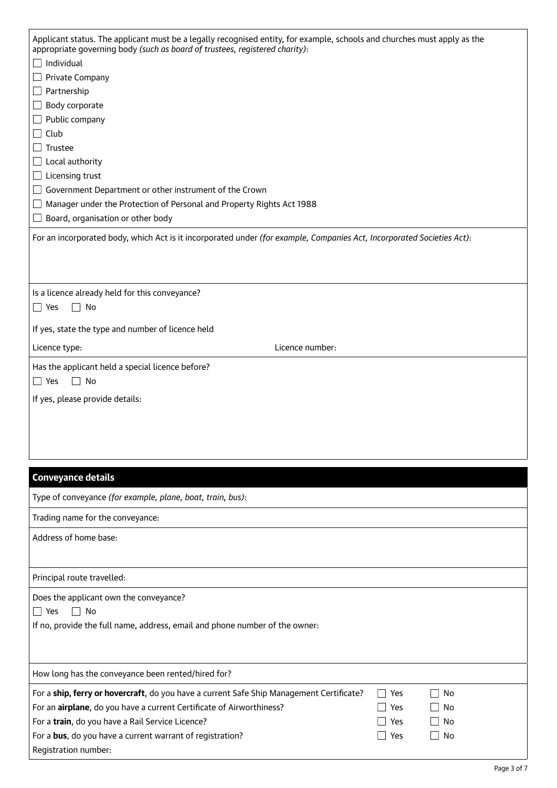| Applicant status. The applicant must be a legally recognised entity, for example, schools and churches must apply as the<br>appropriate governing body (such as board of trustees, registered charity):                                                                                                                                                                                                                                     |
|---------------------------------------------------------------------------------------------------------------------------------------------------------------------------------------------------------------------------------------------------------------------------------------------------------------------------------------------------------------------------------------------------------------------------------------------|
| Individual<br>Private Company<br>Partnership<br>Body corporate<br>Public company<br>Club<br>Trustee<br>Local authority<br>Licensing trust<br>Government Department or other instrument of the Crown<br>Manager under the Protection of Personal and Property Rights Act 1988<br>Board, organisation or other body<br>For an incorporated body, which Act is it incorporated under (for example, Companies Act, Incorporated Societies Act): |
|                                                                                                                                                                                                                                                                                                                                                                                                                                             |
|                                                                                                                                                                                                                                                                                                                                                                                                                                             |
| Is a licence already held for this conveyance?<br>$\Box$ Yes<br>No                                                                                                                                                                                                                                                                                                                                                                          |
| If yes, state the type and number of licence held                                                                                                                                                                                                                                                                                                                                                                                           |
| Licence number:<br>Licence type:                                                                                                                                                                                                                                                                                                                                                                                                            |
| Has the applicant held a special licence before?                                                                                                                                                                                                                                                                                                                                                                                            |
| $\Box$ Yes<br>No<br>$\blacksquare$                                                                                                                                                                                                                                                                                                                                                                                                          |
| If yes, please provide details:                                                                                                                                                                                                                                                                                                                                                                                                             |
|                                                                                                                                                                                                                                                                                                                                                                                                                                             |
|                                                                                                                                                                                                                                                                                                                                                                                                                                             |
|                                                                                                                                                                                                                                                                                                                                                                                                                                             |
|                                                                                                                                                                                                                                                                                                                                                                                                                                             |
| <b>Conveyance details</b>                                                                                                                                                                                                                                                                                                                                                                                                                   |
| Type of conveyance (for example, plane, boat, train, bus):                                                                                                                                                                                                                                                                                                                                                                                  |
| Trading name for the conveyance:                                                                                                                                                                                                                                                                                                                                                                                                            |
| Address of home base:                                                                                                                                                                                                                                                                                                                                                                                                                       |
|                                                                                                                                                                                                                                                                                                                                                                                                                                             |
| Principal route travelled:                                                                                                                                                                                                                                                                                                                                                                                                                  |
| Does the applicant own the conveyance?                                                                                                                                                                                                                                                                                                                                                                                                      |
| $\Box$ Yes<br>$\Box$ No                                                                                                                                                                                                                                                                                                                                                                                                                     |
| If no, provide the full name, address, email and phone number of the owner:                                                                                                                                                                                                                                                                                                                                                                 |
|                                                                                                                                                                                                                                                                                                                                                                                                                                             |
| How long has the conveyance been rented/hired for?                                                                                                                                                                                                                                                                                                                                                                                          |
| For a ship, ferry or hovercraft, do you have a current Safe Ship Management Certificate?<br>No<br>Yes                                                                                                                                                                                                                                                                                                                                       |
| For an airplane, do you have a current Certificate of Airworthiness?<br>Yes<br>No                                                                                                                                                                                                                                                                                                                                                           |
| For a train, do you have a Rail Service Licence?<br>Yes<br>No                                                                                                                                                                                                                                                                                                                                                                               |
| No<br>For a bus, do you have a current warrant of registration?<br>$\blacksquare$<br>Yes                                                                                                                                                                                                                                                                                                                                                    |
| Registration number:                                                                                                                                                                                                                                                                                                                                                                                                                        |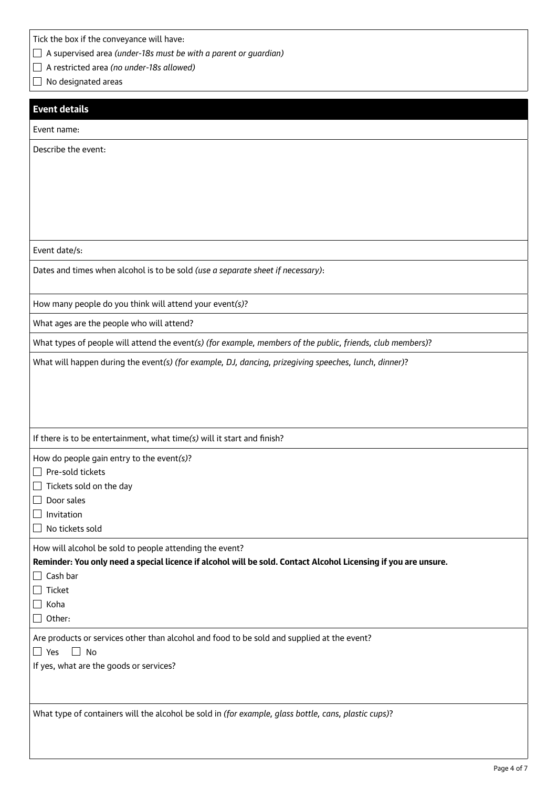Tick the box if the conveyance will have:

| $\Box$ A supervised area (under-18s must be with a parent or guardian) |  |  |
|------------------------------------------------------------------------|--|--|
|                                                                        |  |  |

A restricted area *(no under-18s allowed)*

No designated areas

### **Event details**

Event name:

Describe the event:

Event date/s:

Dates and times when alcohol is to be sold *(use a separate sheet if necessary)*:

How many people do you think will attend your event*(s)*?

What ages are the people who will attend?

What types of people will attend the event*(s) (for example, members of the public, friends, club members)*?

What will happen during the event*(s) (for example, DJ, dancing, prizegiving speeches, lunch, dinner)*?

If there is to be entertainment, what time*(s)* will it start and finish?

How do people gain entry to the event*(s)*?

 $\Box$  Pre-sold tickets

 $\Box$  Tickets sold on the day

 $\Box$  Door sales

 $\Box$  Invitation

 $\Box$  No tickets sold

How will alcohol be sold to people attending the event?

**Reminder: You only need a special licence if alcohol will be sold. Contact Alcohol Licensing if you are unsure.**

 $\Box$  Cash bar

 $\Box$  Ticket

 $\Box$  Koha

 $\Box$  Other:

Are products or services other than alcohol and food to be sold and supplied at the event?

 $\Box$  Yes  $\Box$  No

If yes, what are the goods or services?

What type of containers will the alcohol be sold in *(for example, glass bottle, cans, plastic cups)*?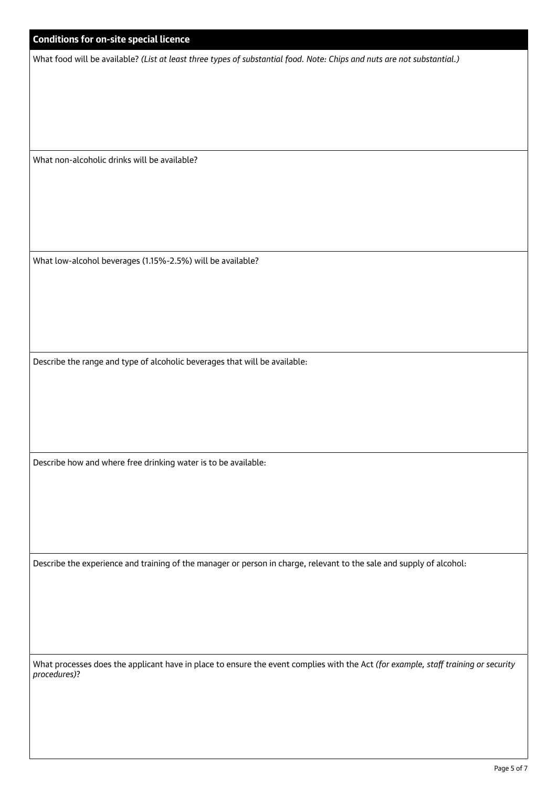# **Conditions for on-site special licence**

What food will be available? *(List at least three types of substantial food. Note: Chips and nuts are not substantial.)*

What non-alcoholic drinks will be available?

What low-alcohol beverages (1.15%-2.5%) will be available?

Describe the range and type of alcoholic beverages that will be available:

Describe how and where free drinking water is to be available:

Describe the experience and training of the manager or person in charge, relevant to the sale and supply of alcohol:

What processes does the applicant have in place to ensure the event complies with the Act *(for example, staff training or security procedures)*?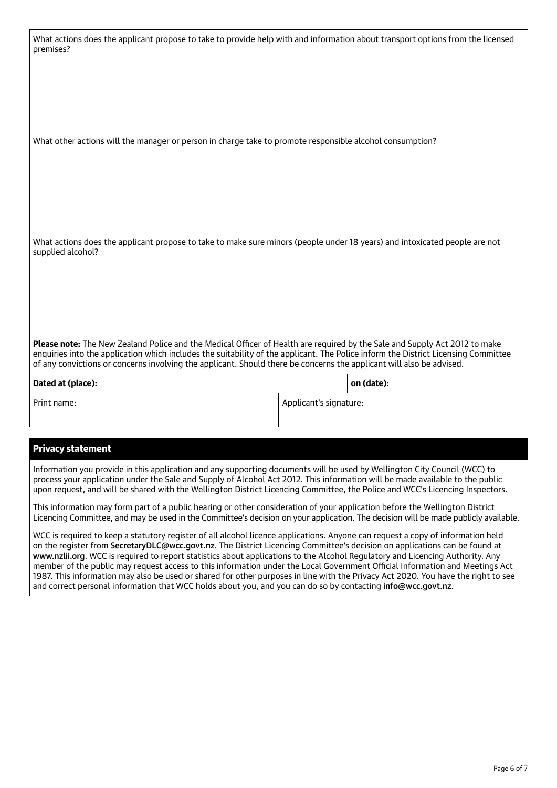What actions does the applicant propose to take to provide help with and information about transport options from the licensed premises?

What other actions will the manager or person in charge take to promote responsible alcohol consumption?

What actions does the applicant propose to take to make sure minors (people under 18 years) and intoxicated people are not supplied alcohol?

**Please note:** The New Zealand Police and the Medical Officer of Health are required by the Sale and Supply Act 2012 to make enquiries into the application which includes the suitability of the applicant. The Police inform the District Licensing Committee of any convictions or concerns involving the applicant. Should there be concerns the applicant will also be advised.

| Dated at (place): |                        | on (date): |
|-------------------|------------------------|------------|
| Print name:       | Applicant's signature: |            |

#### Privacy statement

Information you provide in this application and any supporting documents will be used by Wellington City Council (WCC) to process your application under the Sale and Supply of Alcohol Act 2012. This information will be made available to the public upon request, and will be shared with the Wellington District Licencing Committee, the Police and WCC's Licencing Inspectors.

This information may form part of a public hearing or other consideration of your application before the Wellington District Licencing Committee, and may be used in the Committee's decision on your application. The decision will be made publicly available.

WCC is required to keep a statutory register of all alcohol licence applications. Anyone can request a copy of information held on the register from [SecretaryDLC@wcc.govt.nz](mailto:SecretaryDLC%40wcc.govt.nz?subject=). The District Licencing Committee's decision on applications can be found at [www.nzlii.org](http://www.nzlii.org). WCC is required to report statistics about applications to the Alcohol Regulatory and Licencing Authority. Any member of the public may request access to this information under the Local Government Official Information and Meetings Act 1987. This information may also be used or shared for other purposes in line with the Privacy Act 2020. You have the right to see and correct personal information that WCC holds about you, and you can do so by contacting [info@wcc.govt.nz](mailto:info%40wcc.govt.nz?subject=).